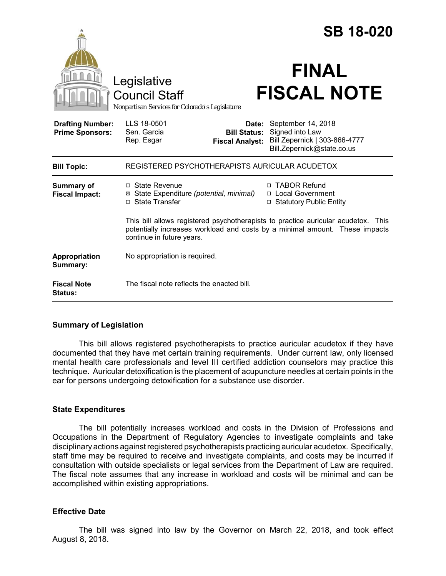|                                                   |                                                                                                                                                                                               |                                               | <b>SB 18-020</b>                                                                                           |  |
|---------------------------------------------------|-----------------------------------------------------------------------------------------------------------------------------------------------------------------------------------------------|-----------------------------------------------|------------------------------------------------------------------------------------------------------------|--|
|                                                   | Legislative<br><b>Council Staff</b><br>Nonpartisan Services for Colorado's Legislature                                                                                                        |                                               | <b>FINAL</b><br><b>FISCAL NOTE</b>                                                                         |  |
| <b>Drafting Number:</b><br><b>Prime Sponsors:</b> | LLS 18-0501<br>Sen. Garcia<br>Rep. Esgar                                                                                                                                                      | <b>Bill Status:</b><br><b>Fiscal Analyst:</b> | Date: September 14, 2018<br>Signed into Law<br>Bill Zepernick   303-866-4777<br>Bill.Zepernick@state.co.us |  |
| <b>Bill Topic:</b>                                | REGISTERED PSYCHOTHERAPISTS AURICULAR ACUDETOX                                                                                                                                                |                                               |                                                                                                            |  |
| <b>Summary of</b><br><b>Fiscal Impact:</b>        | $\Box$ State Revenue<br>State Expenditure (potential, minimal)<br>⊠<br>□ State Transfer                                                                                                       |                                               | □ TABOR Refund<br>□ Local Government<br>□ Statutory Public Entity                                          |  |
|                                                   | This bill allows registered psychotherapists to practice auricular acudetox. This<br>potentially increases workload and costs by a minimal amount. These impacts<br>continue in future years. |                                               |                                                                                                            |  |
| Appropriation<br>Summary:                         | No appropriation is required.                                                                                                                                                                 |                                               |                                                                                                            |  |
| <b>Fiscal Note</b><br><b>Status:</b>              | The fiscal note reflects the enacted bill.                                                                                                                                                    |                                               |                                                                                                            |  |

## **Summary of Legislation**

This bill allows registered psychotherapists to practice auricular acudetox if they have documented that they have met certain training requirements. Under current law, only licensed mental health care professionals and level III certified addiction counselors may practice this technique. Auricular detoxification is the placement of acupuncture needles at certain points in the ear for persons undergoing detoxification for a substance use disorder.

## **State Expenditures**

The bill potentially increases workload and costs in the Division of Professions and Occupations in the Department of Regulatory Agencies to investigate complaints and take disciplinary actions against registered psychotherapists practicing auricular acudetox. Specifically, staff time may be required to receive and investigate complaints, and costs may be incurred if consultation with outside specialists or legal services from the Department of Law are required. The fiscal note assumes that any increase in workload and costs will be minimal and can be accomplished within existing appropriations.

## **Effective Date**

The bill was signed into law by the Governor on March 22, 2018, and took effect August 8, 2018.